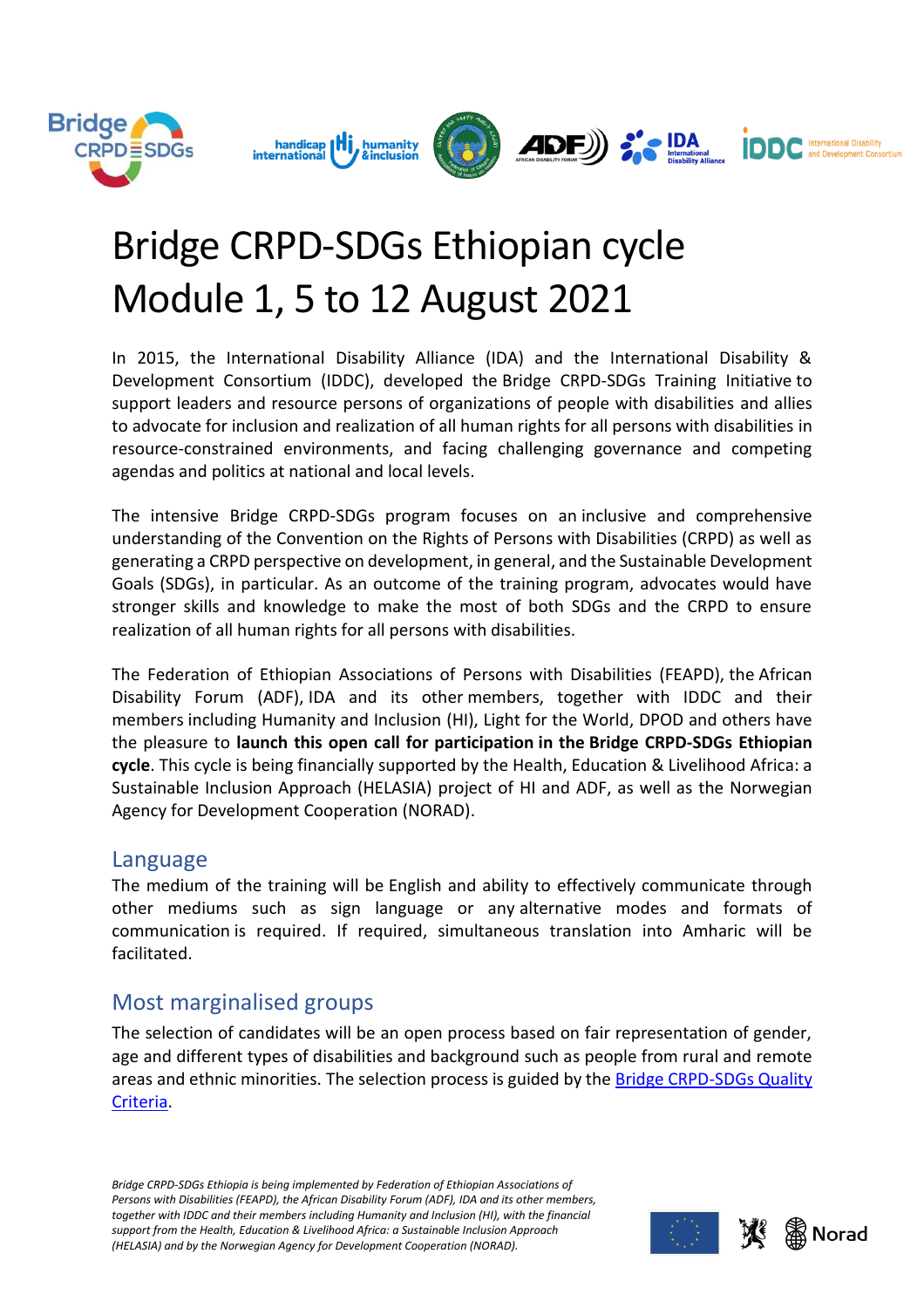



# Bridge CRPD-SDGs Ethiopian cycle Module 1, 5 to 12 August 2021

In 2015, the International Disability Alliance (IDA) and the International Disability & Development Consortium (IDDC), developed the Bridge CRPD-SDGs Training Initiative to support leaders and resource persons of organizations of people with disabilities and allies to advocate for inclusion and realization of all human rights for all persons with disabilities in resource-constrained environments, and facing challenging governance and competing agendas and politics at national and local levels.

The intensive Bridge CRPD-SDGs program focuses on an inclusive and comprehensive understanding of the Convention on the Rights of Persons with Disabilities (CRPD) as well as generating a CRPD perspective on development, in general, and the Sustainable Development Goals (SDGs), in particular. As an outcome of the training program, advocates would have stronger skills and knowledge to make the most of both SDGs and the CRPD to ensure realization of all human rights for all persons with disabilities.

The Federation of Ethiopian Associations of Persons with Disabilities (FEAPD), the African Disability Forum (ADF), IDA and its other members, together with IDDC and their members including Humanity and Inclusion (HI), Light for the World, DPOD and others have the pleasure to **launch this open call for participation in the Bridge CRPD-SDGs Ethiopian cycle**. This cycle is being financially supported by the Health, Education & Livelihood Africa: a Sustainable Inclusion Approach (HELASIA) project of HI and ADF, as well as the Norwegian Agency for Development Cooperation (NORAD).

#### Language

The medium of the training will be English and ability to effectively communicate through other mediums such as sign language or any alternative modes and formats of communication is required. If required, simultaneous translation into Amharic will be facilitated.

## Most marginalised groups

The selection of candidates will be an open process based on fair representation of gender, age and different types of disabilities and background such as people from rural and remote areas and ethnic minorities. The selection process is guided by the [Bridge CRPD-SDGs Quality](https://www.internationaldisabilityalliance.org/sites/default/files/bridge_quality_criteria_principles_development_oct2018.pdf)  [Criteria.](https://www.internationaldisabilityalliance.org/sites/default/files/bridge_quality_criteria_principles_development_oct2018.pdf)





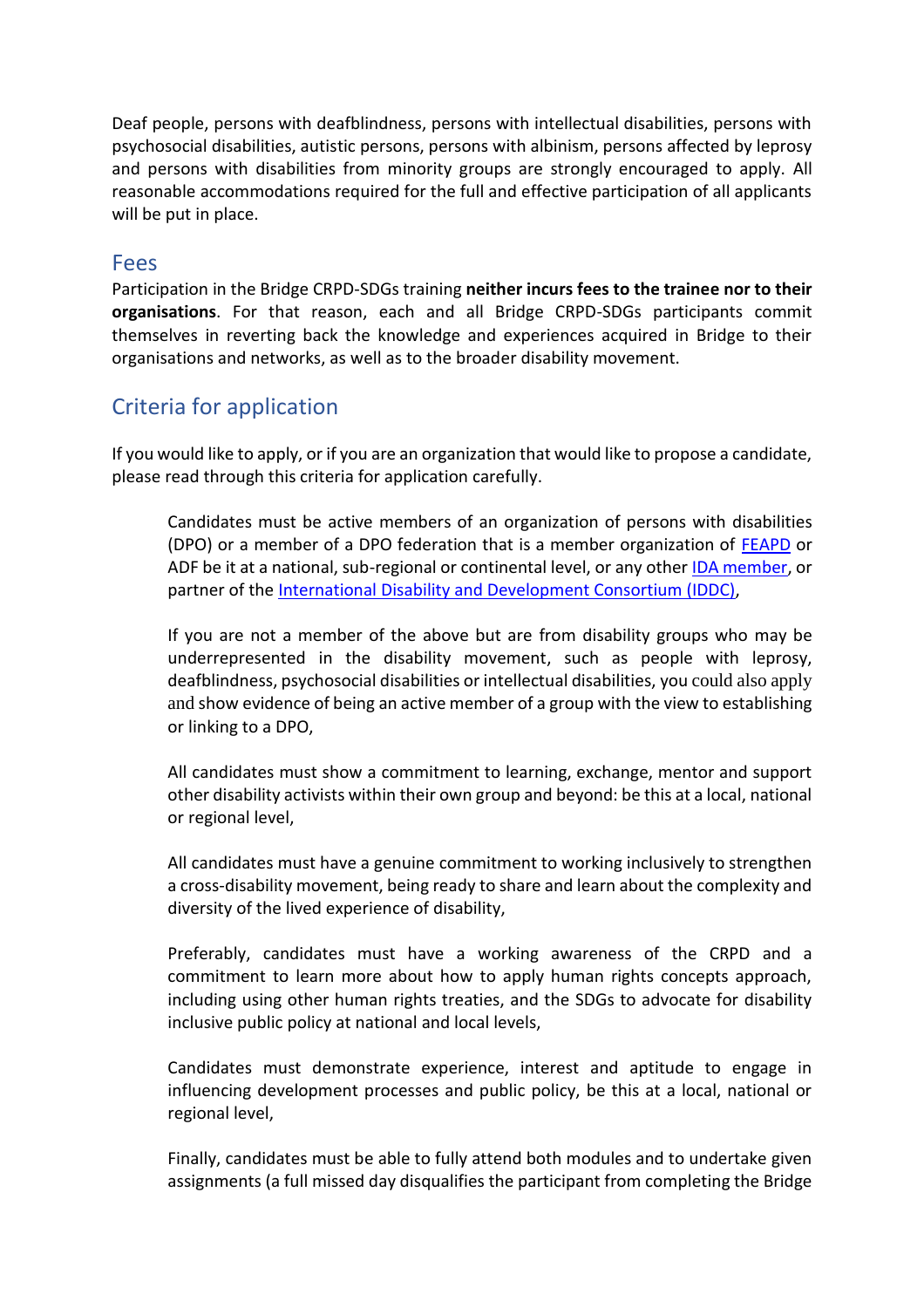Deaf people, persons with deafblindness, persons with intellectual disabilities, persons with psychosocial disabilities, autistic persons, persons with albinism, persons affected by leprosy and persons with disabilities from minority groups are strongly encouraged to apply. All reasonable accommodations required for the full and effective participation of all applicants will be put in place.

#### Fees

Participation in the Bridge CRPD-SDGs training **neither incurs fees to the trainee nor to their organisations**. For that reason, each and all Bridge CRPD-SDGs participants commit themselves in reverting back the knowledge and experiences acquired in Bridge to their organisations and networks, as well as to the broader disability movement.

## Criteria for application

If you would like to apply, or if you are an organization that would like to propose a candidate, please read through this criteria for application carefully.

• Candidates must be active members of an organization of persons with disabilities (DPO) or a member of a DPO federation that is a member organization of [FEAPD](https://www.fenapd.org/site/) or ADF be it at a national, sub-regional or continental level, or any other [IDA member,](https://www.internationaldisabilityalliance.org/content/ida-members) or partner of the International Disability [and Development Consortium \(IDDC\),](https://www.iddcconsortium.net/our-members/)

• If you are not a member of the above but are from disability groups who may be underrepresented in the disability movement, such as people with leprosy, deafblindness, psychosocial disabilities or intellectual disabilities, you could also apply and show evidence of being an active member of a group with the view to establishing or linking to a DPO,

• All candidates must show a commitment to learning, exchange, mentor and support other disability activists within their own group and beyond: be this at a local, national or regional level,

• All candidates must have a genuine commitment to working inclusively to strengthen a cross-disability movement, being ready to share and learn about the complexity and diversity of the lived experience of disability,

• Preferably, candidates must have a working awareness of the CRPD and a commitment to learn more about how to apply human rights concepts approach, including using other human rights treaties, and the SDGs to advocate for disability inclusive public policy at national and local levels,

• Candidates must demonstrate experience, interest and aptitude to engage in influencing development processes and public policy, be this at a local, national or regional level,

• Finally, candidates must be able to fully attend both modules and to undertake given assignments (a full missed day disqualifies the participant from completing the Bridge